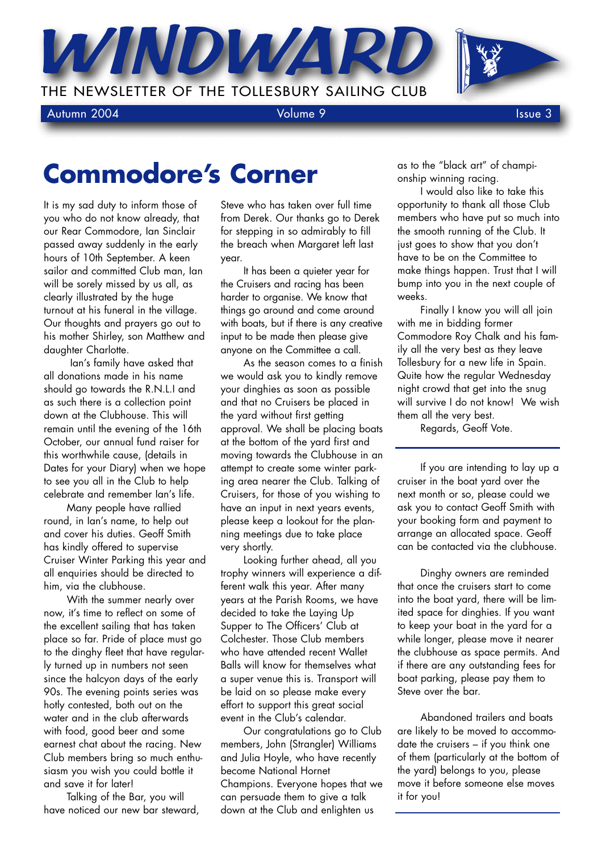THE NEWSLETTER OF THE TOLLESBURY SAILING CLUB

Autumn 2004 **Volume 9** Issue 3

## **Commodore's Corner**

WINDW

It is my sad duty to inform those of you who do not know already, that our Rear Commodore, Ian Sinclair passed away suddenly in the early hours of 10th September. A keen sailor and committed Club man, Ian will be sorely missed by us all, as clearly illustrated by the huge turnout at his funeral in the village. Our thoughts and prayers go out to his mother Shirley, son Matthew and daughter Charlotte.

Ian's family have asked that all donations made in his name should go towards the R.N.L.I and as such there is a collection point down at the Clubhouse. This will remain until the evening of the 16th October, our annual fund raiser for this worthwhile cause, (details in Dates for your Diary) when we hope to see you all in the Club to help celebrate and remember Ian's life.

Many people have rallied round, in Ian's name, to help out and cover his duties. Geoff Smith has kindly offered to supervise Cruiser Winter Parking this year and all enquiries should be directed to him, via the clubhouse.

With the summer nearly over now, it's time to reflect on some of the excellent sailing that has taken place so far. Pride of place must go to the dinghy fleet that have regularly turned up in numbers not seen since the halcyon days of the early 90s. The evening points series was hotly contested, both out on the water and in the club afterwards with food, good beer and some earnest chat about the racing. New Club members bring so much enthusiasm you wish you could bottle it and save it for later!

Talking of the Bar, you will have noticed our new bar steward,

Steve who has taken over full time from Derek. Our thanks go to Derek for stepping in so admirably to fill the breach when Margaret left last year.

It has been a quieter year for the Cruisers and racing has been harder to organise. We know that things go around and come around with boats, but if there is any creative input to be made then please give anyone on the Committee a call.

As the season comes to a finish we would ask you to kindly remove your dinghies as soon as possible and that no Cruisers be placed in the yard without first getting approval. We shall be placing boats at the bottom of the yard first and moving towards the Clubhouse in an attempt to create some winter parking area nearer the Club. Talking of Cruisers, for those of you wishing to have an input in next years events, please keep a lookout for the planning meetings due to take place very shortly.

Looking further ahead, all you trophy winners will experience a different walk this year. After many years at the Parish Rooms, we have decided to take the Laying Up Supper to The Officers' Club at Colchester. Those Club members who have attended recent Wallet Balls will know for themselves what a super venue this is. Transport will be laid on so please make every effort to support this great social event in the Club's calendar.

Our congratulations go to Club members, John (Strangler) Williams and Julia Hoyle, who have recently become National Hornet Champions. Everyone hopes that we can persuade them to give a talk down at the Club and enlighten us

as to the "black art" of championship winning racing.

I would also like to take this opportunity to thank all those Club members who have put so much into the smooth running of the Club. It just goes to show that you don't have to be on the Committee to make things happen. Trust that I will bump into you in the next couple of weeks.

Finally I know you will all join with me in bidding former Commodore Roy Chalk and his family all the very best as they leave Tollesbury for a new life in Spain. Quite how the regular Wednesday night crowd that get into the snug will survive I do not know! We wish them all the very best.

Regards, Geoff Vote.

If you are intending to lay up a cruiser in the boat yard over the next month or so, please could we ask you to contact Geoff Smith with your booking form and payment to arrange an allocated space. Geoff can be contacted via the clubhouse.

Dinghy owners are reminded that once the cruisers start to come into the boat yard, there will be limited space for dinghies. If you want to keep your boat in the yard for a while longer, please move it nearer the clubhouse as space permits. And if there are any outstanding fees for boat parking, please pay them to Steve over the bar.

Abandoned trailers and boats are likely to be moved to accommodate the cruisers – if you think one of them (particularly at the bottom of the yard) belongs to you, please move it before someone else moves it for you!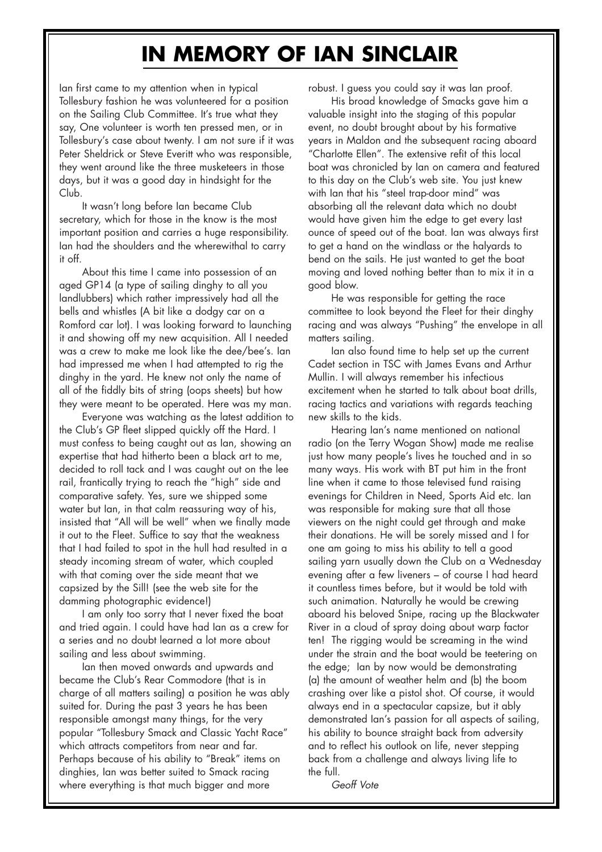## **IN MEMORY OF IAN SINCLAIR**

Ian first came to my attention when in typical Tollesbury fashion he was volunteered for a position on the Sailing Club Committee. It's true what they say, One volunteer is worth ten pressed men, or in Tollesbury's case about twenty. I am not sure if it was Peter Sheldrick or Steve Everitt who was responsible, they went around like the three musketeers in those days, but it was a good day in hindsight for the Club.

It wasn't long before Ian became Club secretary, which for those in the know is the most important position and carries a huge responsibility. Ian had the shoulders and the wherewithal to carry it off.

About this time I came into possession of an aged GP14 (a type of sailing dinghy to all you landlubbers) which rather impressively had all the bells and whistles (A bit like a dodgy car on a Romford car lot). I was looking forward to launching it and showing off my new acquisition. All I needed was a crew to make me look like the dee/bee's. Ian had impressed me when I had attempted to rig the dinghy in the yard. He knew not only the name of all of the fiddly bits of string (oops sheets) but how they were meant to be operated. Here was my man.

Everyone was watching as the latest addition to the Club's GP fleet slipped quickly off the Hard. I must confess to being caught out as Ian, showing an expertise that had hitherto been a black art to me, decided to roll tack and I was caught out on the lee rail, frantically trying to reach the "high" side and comparative safety. Yes, sure we shipped some water but Ian, in that calm reassuring way of his, insisted that "All will be well" when we finally made it out to the Fleet. Suffice to say that the weakness that I had failed to spot in the hull had resulted in a steady incoming stream of water, which coupled with that coming over the side meant that we capsized by the Sill! (see the web site for the damming photographic evidence!)

I am only too sorry that I never fixed the boat and tried again. I could have had Ian as a crew for a series and no doubt learned a lot more about sailing and less about swimming.

Ian then moved onwards and upwards and became the Club's Rear Commodore (that is in charge of all matters sailing) a position he was ably suited for. During the past 3 years he has been responsible amongst many things, for the very popular "Tollesbury Smack and Classic Yacht Race" which attracts competitors from near and far. Perhaps because of his ability to "Break" items on dinghies, Ian was better suited to Smack racing where everything is that much bigger and more

robust. I guess you could say it was Ian proof.

His broad knowledge of Smacks gave him a valuable insight into the staging of this popular event, no doubt brought about by his formative years in Maldon and the subsequent racing aboard "Charlotte Ellen". The extensive refit of this local boat was chronicled by Ian on camera and featured to this day on the Club's web site. You just knew with Ian that his "steel trap-door mind" was absorbing all the relevant data which no doubt would have given him the edge to get every last ounce of speed out of the boat. Ian was always first to get a hand on the windlass or the halyards to bend on the sails. He just wanted to get the boat moving and loved nothing better than to mix it in a good blow.

He was responsible for getting the race committee to look beyond the Fleet for their dinghy racing and was always "Pushing" the envelope in all matters sailing.

Ian also found time to help set up the current Cadet section in TSC with James Evans and Arthur Mullin. I will always remember his infectious excitement when he started to talk about boat drills, racing tactics and variations with regards teaching new skills to the kids.

Hearing Ian's name mentioned on national radio (on the Terry Wogan Show) made me realise just how many people's lives he touched and in so many ways. His work with BT put him in the front line when it came to those televised fund raising evenings for Children in Need, Sports Aid etc. Ian was responsible for making sure that all those viewers on the night could get through and make their donations. He will be sorely missed and I for one am going to miss his ability to tell a good sailing yarn usually down the Club on a Wednesday evening after a few liveners – of course I had heard it countless times before, but it would be told with such animation. Naturally he would be crewing aboard his beloved Snipe, racing up the Blackwater River in a cloud of spray doing about warp factor ten! The rigging would be screaming in the wind under the strain and the boat would be teetering on the edge; Ian by now would be demonstrating (a) the amount of weather helm and (b) the boom crashing over like a pistol shot. Of course, it would always end in a spectacular capsize, but it ably demonstrated Ian's passion for all aspects of sailing, his ability to bounce straight back from adversity and to reflect his outlook on life, never stepping back from a challenge and always living life to the full.

*Geoff Vote*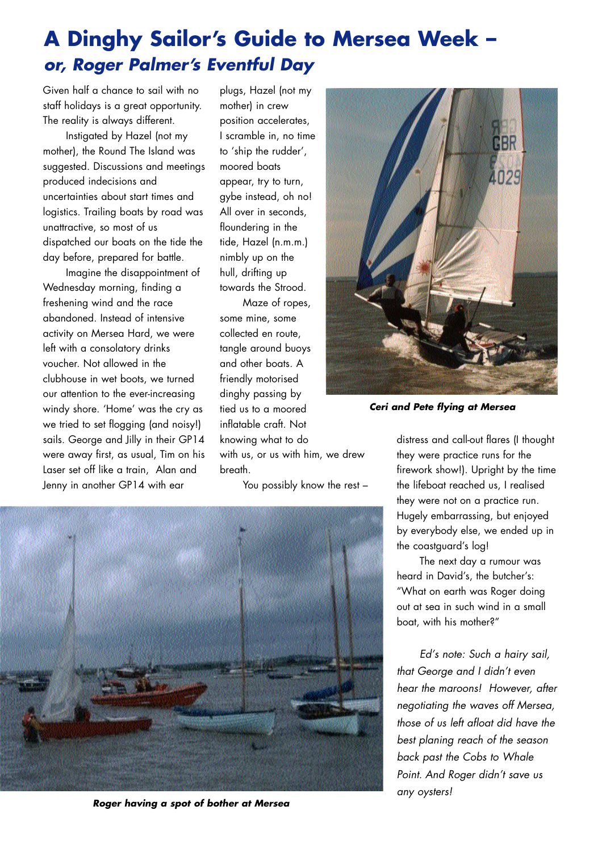## **A Dinghy Sailor's Guide to Mersea Week –**  *or, Roger Palmer's Eventful Day*

Given half a chance to sail with no staff holidays is a great opportunity. The reality is always different.

Instigated by Hazel (not my mother), the Round The Island was suggested. Discussions and meetings produced indecisions and uncertainties about start times and logistics. Trailing boats by road was unattractive, so most of us dispatched our boats on the tide the day before, prepared for battle.

Imagine the disappointment of Wednesday morning, finding a freshening wind and the race abandoned. Instead of intensive activity on Mersea Hard, we were left with a consolatory drinks voucher. Not allowed in the clubhouse in wet boots, we turned our attention to the ever-increasing windy shore. 'Home' was the cry as we tried to set flogging (and noisy!) sails. George and Jilly in their GP14 were away first, as usual, Tim on his Laser set off like a train, Alan and Jenny in another GP14 with ear

plugs, Hazel (not my mother) in crew position accelerates, I scramble in, no time to 'ship the rudder', moored boats appear, try to turn, gybe instead, oh no! All over in seconds, floundering in the tide, Hazel (n.m.m.) nimbly up on the hull, drifting up towards the Strood.

Maze of ropes, some mine, some collected en route, tangle around buoys and other boats. A friendly motorised dinghy passing by tied us to a moored inflatable craft. Not knowing what to do with us, or us with him, we drew breath.

You possibly know the rest –



*Roger having a spot of bother at Mersea*



*Ceri and Pete flying at Mersea* 

distress and call-out flares (I thought they were practice runs for the firework show!). Upright by the time the lifeboat reached us, I realised they were not on a practice run. Hugely embarrassing, but enjoyed by everybody else, we ended up in the coastguard's log!

The next day a rumour was heard in David's, the butcher's: "What on earth was Roger doing out at sea in such wind in a small boat, with his mother?"

*Ed's note: Such a hairy sail, that George and I didn't even hear the maroons! However, after negotiating the waves off Mersea, those of us left afloat did have the best planing reach of the season back past the Cobs to Whale Point. And Roger didn't save us any oysters!*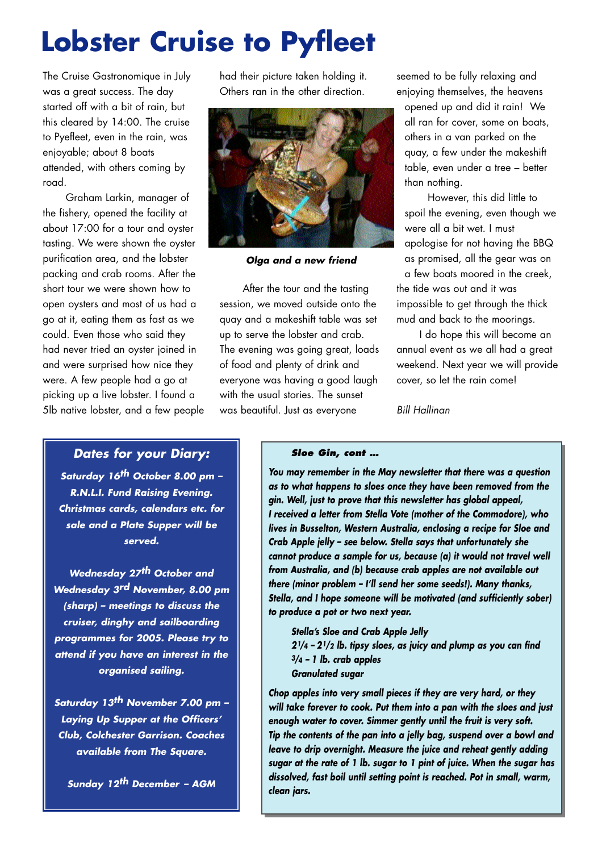# **Lobster Cruise to Pyfleet**

The Cruise Gastronomique in July was a great success. The day started off with a bit of rain, but this cleared by 14:00. The cruise to Pyefleet, even in the rain, was enjoyable; about 8 boats attended, with others coming by road.

Graham Larkin, manager of the fishery, opened the facility at about 17:00 for a tour and oyster tasting. We were shown the oyster purification area, and the lobster packing and crab rooms. After the short tour we were shown how to open oysters and most of us had a go at it, eating them as fast as we could. Even those who said they had never tried an oyster joined in and were surprised how nice they were. A few people had a go at picking up a live lobster. I found a 5lb native lobster, and a few people had their picture taken holding it. Others ran in the other direction.



*Olga and a new friend*

After the tour and the tasting session, we moved outside onto the quay and a makeshift table was set up to serve the lobster and crab. The evening was going great, loads of food and plenty of drink and everyone was having a good laugh with the usual stories. The sunset was beautiful. Just as everyone

seemed to be fully relaxing and enjoying themselves, the heavens opened up and did it rain! We all ran for cover, some on boats, others in a van parked on the quay, a few under the makeshift table, even under a tree – better than nothing.

However, this did little to spoil the evening, even though we were all a bit wet. I must apologise for not having the BBQ as promised, all the gear was on a few boats moored in the creek, the tide was out and it was impossible to get through the thick mud and back to the moorings.

I do hope this will become an annual event as we all had a great weekend. Next year we will provide cover, so let the rain come!

*Bill Hallinan*

#### *Dates for your Diary:*

*Saturday 16th October 8.00 pm – R.N.L.I. Fund Raising Evening. Christmas cards, calendars etc. for sale and a Plate Supper will be served.*

*Wednesday 27th October and Wednesday 3rd November, 8.00 pm (sharp) – meetings to discuss the cruiser, dinghy and sailboarding programmes for 2005. Please try to attend if you have an interest in the organised sailing.*

*Saturday 13th November 7.00 pm – Laying Up Supper at the Officers' Club, Colchester Garrison. Coaches available from The Square.*

*Sunday 12th December – AGM*

#### *Sloe Gin, cont …*

*You may remember in the May newsletter that there was a question as to what happens to sloes once they have been removed from the gin. Well, just to prove that this newsletter has global appeal, I received a letter from Stella Vote (mother of the Commodore), who lives in Busselton, Western Australia, enclosing a recipe for Sloe and Crab Apple jelly – see below. Stella says that unfortunately she cannot produce a sample for us, because (a) it would not travel well from Australia, and (b) because crab apples are not available out there (minor problem – I'll send her some seeds!). Many thanks, Stella, and I hope someone will be motivated (and sufficiently sober) to produce a pot or two next year.*

*Stella's Sloe and Crab Apple Jelly 21/4 – 21/2 lb. tipsy sloes, as juicy and plump as you can find 3/4 – 1 lb. crab apples Granulated sugar*

*Chop apples into very small pieces if they are very hard, or they will take forever to cook. Put them into a pan with the sloes and just enough water to cover. Simmer gently until the fruit is very soft. Tip the contents of the pan into a jelly bag, suspend over a bowl and leave to drip overnight. Measure the juice and reheat gently adding sugar at the rate of 1 lb. sugar to 1 pint of juice. When the sugar has dissolved, fast boil until setting point is reached. Pot in small, warm, clean jars.*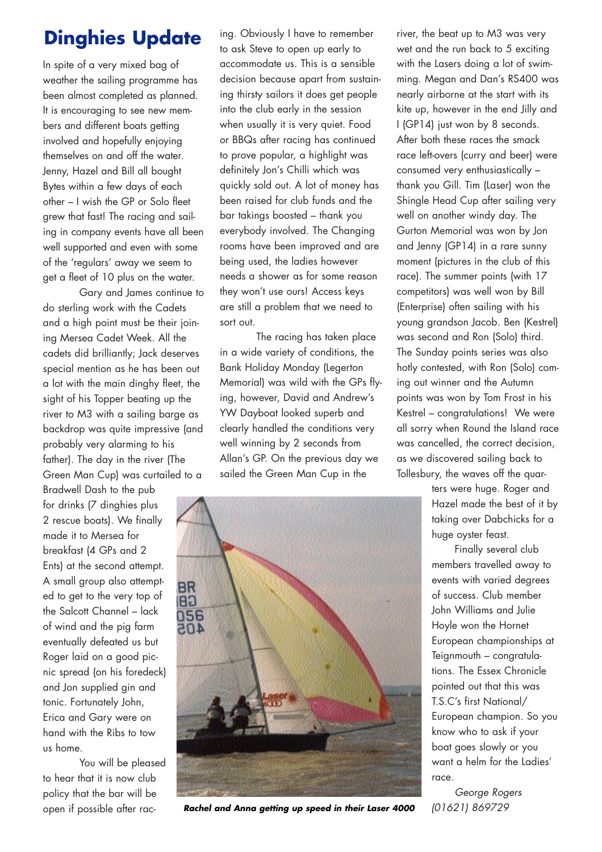## **Dinghies Update**

In spite of a very mixed bag of weather the sailing programme has been almost completed as planned. It is encouraging to see new members and different boats getting involved and hopefully enjoying themselves on and off the water. Jenny, Hazel and Bill all bought Bytes within a few days of each other – I wish the GP or Solo fleet grew that fast! The racing and sailing in company events have all been well supported and even with some of the 'regulars' away we seem to get a fleet of 10 plus on the water.

Gary and James continue to do sterling work with the Cadets and a high point must be their joining Mersea Cadet Week. All the cadets did brilliantly; Jack deserves special mention as he has been out a lot with the main dinghy fleet, the sight of his Topper beating up the river to M3 with a sailing barge as backdrop was quite impressive (and probably very alarming to his father). The day in the river (The Green Man Cup) was curtailed to a Bradwell Dash to the pub

for drinks (7 dinghies plus 2 rescue boats). We finally made it to Mersea for breakfast (4 GPs and 2 Ents) at the second attempt. A small group also attempted to get to the very top of the Salcott Channel – lack of wind and the pig farm eventually defeated us but Roger laid on a good picnic spread (on his foredeck) and Jon supplied gin and tonic. Fortunately John, Erica and Gary were on hand with the Ribs to tow us home.

You will be pleased to hear that it is now club policy that the bar will be open if possible after rac-

ing. Obviously I have to remember to ask Steve to open up early to accommodate us. This is a sensible decision because apart from sustaining thirsty sailors it does get people into the club early in the session when usually it is very quiet. Food or BBQs after racing has continued to prove popular, a highlight was definitely Jon's Chilli which was quickly sold out. A lot of money has been raised for club funds and the bar takings boosted – thank you everybody involved. The Changing rooms have been improved and are being used, the ladies however needs a shower as for some reason they won't use ours! Access keys are still a problem that we need to sort out.

The racing has taken place in a wide variety of conditions, the Bank Holiday Monday (Legerton Memorial) was wild with the GPs flying, however, David and Andrew's YW Dayboat looked superb and clearly handled the conditions very well winning by 2 seconds from Allan's GP. On the previous day we sailed the Green Man Cup in the



*Rachel and Anna getting up speed in their Laser 4000*

river, the beat up to M3 was very wet and the run back to 5 exciting with the Lasers doing a lot of swimming. Megan and Dan's RS400 was nearly airborne at the start with its kite up, however in the end Jilly and I (GP14) just won by 8 seconds. After both these races the smack race left-overs (curry and beer) were consumed very enthusiastically – thank you Gill. Tim (Laser) won the Shingle Head Cup after sailing very well on another windy day. The Gurton Memorial was won by Jon and Jenny (GP14) in a rare sunny moment (pictures in the club of this race). The summer points (with 17 competitors) was well won by Bill (Enterprise) often sailing with his young grandson Jacob. Ben (Kestrel) was second and Ron (Solo) third. The Sunday points series was also hotly contested, with Ron (Solo) coming out winner and the Autumn points was won by Tom Frost in his Kestrel – congratulations! We were all sorry when Round the Island race was cancelled, the correct decision, as we discovered sailing back to Tollesbury, the waves off the quar-

> ters were huge. Roger and Hazel made the best of it by taking over Dabchicks for a huge oyster feast.

> Finally several club members travelled away to events with varied degrees of success. Club member John Williams and Julie Hoyle won the Hornet European championships at Teignmouth – congratulations. The Essex Chronicle pointed out that this was T.S.C's first National/ European champion. So you know who to ask if your boat goes slowly or you want a helm for the Ladies' race.

*George Rogers (01621) 869729*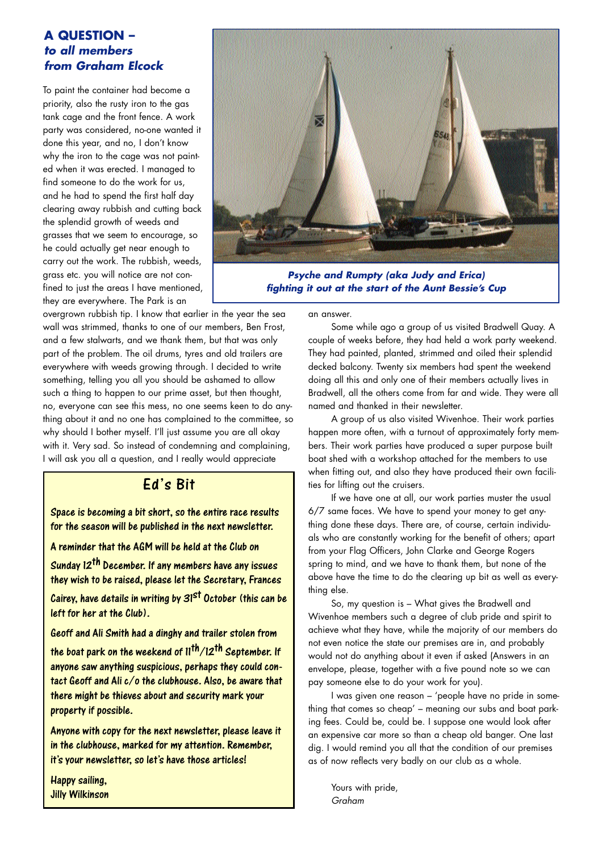#### **A QUESTION –**  *to all members from Graham Elcock*

To paint the container had become a priority, also the rusty iron to the gas tank cage and the front fence. A work party was considered, no-one wanted it done this year, and no, I don't know why the iron to the cage was not painted when it was erected. I managed to find someone to do the work for us, and he had to spend the first half day clearing away rubbish and cutting back the splendid growth of weeds and grasses that we seem to encourage, so he could actually get near enough to carry out the work. The rubbish, weeds, grass etc. you will notice are not confined to just the areas I have mentioned, they are everywhere. The Park is an



*Psyche and Rumpty (aka Judy and Erica) fighting it out at the start of the Aunt Bessie's Cup*

overgrown rubbish tip. I know that earlier in the year the sea wall was strimmed, thanks to one of our members, Ben Frost, and a few stalwarts, and we thank them, but that was only part of the problem. The oil drums, tyres and old trailers are everywhere with weeds growing through. I decided to write something, telling you all you should be ashamed to allow such a thing to happen to our prime asset, but then thought, no, everyone can see this mess, no one seems keen to do anything about it and no one has complained to the committee, so why should I bother myself. I'll just assume you are all okay with it. Very sad. So instead of condemning and complaining, I will ask you all a question, and I really would appreciate

#### Ed's Bit

Space is becoming a bit short, so the entire race results for the season will be published in the next newsletter.

A reminder that the AGM will be held at the Club on

Sunday 12th December. If any members have any issues they wish to be raised, please let the Secretary, Frances Cairey, have details in writing by  $31<sup>st</sup>$  October (this can be

left for her at the Club).

Geoff and Ali Smith had a dinghy and trailer stolen from the boat park on the weekend of  $11^{th}/12^{th}$  September. If anyone saw anything suspicious, perhaps they could contact Geoff and Ali c/o the clubhouse. Also, be aware that there might be thieves about and security mark your property if possible.

Anyone with copy for the next newsletter, please leave it in the clubhouse, marked for my attention. Remember, it's your newsletter, so let's have those articles!

Happy sailing, Jilly Wilkinson an answer.

Some while ago a group of us visited Bradwell Quay. A couple of weeks before, they had held a work party weekend. They had painted, planted, strimmed and oiled their splendid decked balcony. Twenty six members had spent the weekend doing all this and only one of their members actually lives in Bradwell, all the others come from far and wide. They were all named and thanked in their newsletter.

A group of us also visited Wivenhoe. Their work parties happen more often, with a turnout of approximately forty members. Their work parties have produced a super purpose built boat shed with a workshop attached for the members to use when fitting out, and also they have produced their own facilities for lifting out the cruisers.

If we have one at all, our work parties muster the usual 6/7 same faces. We have to spend your money to get anything done these days. There are, of course, certain individuals who are constantly working for the benefit of others; apart from your Flag Officers, John Clarke and George Rogers spring to mind, and we have to thank them, but none of the above have the time to do the clearing up bit as well as everything else.

So, my question is – What gives the Bradwell and Wivenhoe members such a degree of club pride and spirit to achieve what they have, while the majority of our members do not even notice the state our premises are in, and probably would not do anything about it even if asked (Answers in an envelope, please, together with a five pound note so we can pay someone else to do your work for you).

I was given one reason – 'people have no pride in something that comes so cheap' – meaning our subs and boat parking fees. Could be, could be. I suppose one would look after an expensive car more so than a cheap old banger. One last dig. I would remind you all that the condition of our premises as of now reflects very badly on our club as a whole.

Yours with pride, *Graham*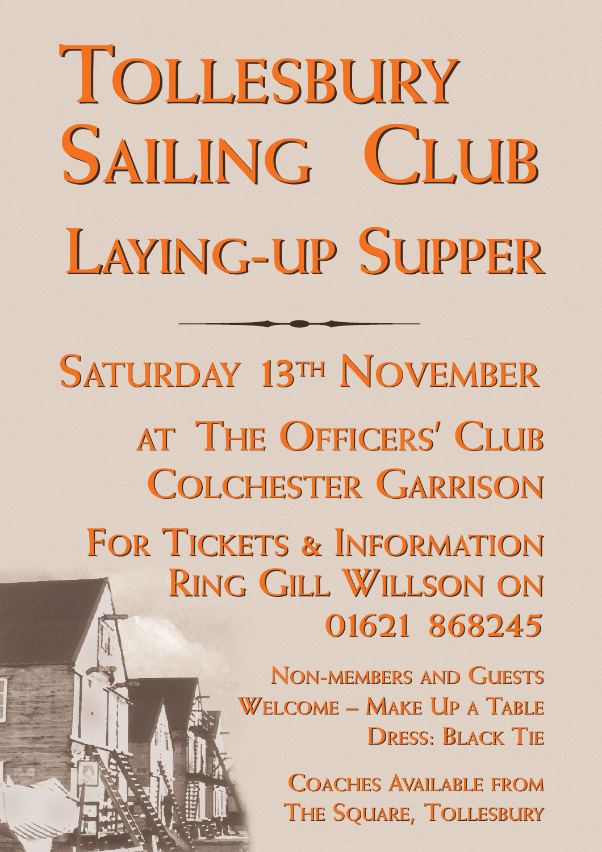# **LAYING-UP SUPPER LAYING-UP SUPPER TOLLESBURY TOLLESBURY SAILING CLUB SAILING CLUB**

**AT THE OFFICERS' CLUB AT THE OFFICERS' CLUB COLCHESTER GARRISON COLCHESTER GARRISON FOR TICKETS & INFORMATION FOR TICKETS & INFORMATION RING GILL WILLSON ON RING GILL WILLSON ON 01621 868245 01621 868245 SATURDAY 13TH NOVEMBER SATURDAY 13TH NOVEMBER**

> **NON-MEMBERS AND GUESTS NON-MEMBERS AND GUESTS WELCOME – MAKE UP A TABLE WELCOME – MAKE UP A TABLE**  $D$ RESS: **BLACK TIE**

> > **COACHES AVAILABLE FROM COACHES AVAILABLE FROM**  $THE$  **SQUARE, TOLLESBURY**